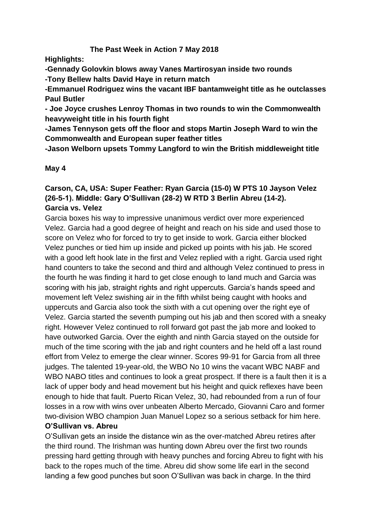# **The Past Week in Action 7 May 2018**

**Highlights:**

**-Gennady Golovkin blows away Vanes Martirosyan inside two rounds -Tony Bellew halts David Haye in return match**

**-Emmanuel Rodriguez wins the vacant IBF bantamweight title as he outclasses Paul Butler**

**- Joe Joyce crushes Lenroy Thomas in two rounds to win the Commonwealth heavyweight title in his fourth fight**

**-James Tennyson gets off the floor and stops Martin Joseph Ward to win the Commonwealth and European super feather titles**

**-Jason Welborn upsets Tommy Langford to win the British middleweight title**

#### **May 4**

# **Carson, CA, USA: Super Feather: Ryan Garcia (15-0) W PTS 10 Jayson Velez (26-5-1). Middle: Gary O'Sullivan (28-2) W RTD 3 Berlin Abreu (14-2). Garcia vs. Velez**

Garcia boxes his way to impressive unanimous verdict over more experienced Velez. Garcia had a good degree of height and reach on his side and used those to score on Velez who for forced to try to get inside to work. Garcia either blocked Velez punches or tied him up inside and picked up points with his jab. He scored with a good left hook late in the first and Velez replied with a right. Garcia used right hand counters to take the second and third and although Velez continued to press in the fourth he was finding it hard to get close enough to land much and Garcia was scoring with his jab, straight rights and right uppercuts. Garcia's hands speed and movement left Velez swishing air in the fifth whilst being caught with hooks and uppercuts and Garcia also took the sixth with a cut opening over the right eye of Velez. Garcia started the seventh pumping out his jab and then scored with a sneaky right. However Velez continued to roll forward got past the jab more and looked to have outworked Garcia. Over the eighth and ninth Garcia stayed on the outside for much of the time scoring with the jab and right counters and he held off a last round effort from Velez to emerge the clear winner. Scores 99-91 for Garcia from all three judges. The talented 19-year-old, the WBO No 10 wins the vacant WBC NABF and WBO NABO titles and continues to look a great prospect. If there is a fault then it is a lack of upper body and head movement but his height and quick reflexes have been enough to hide that fault. Puerto Rican Velez, 30, had rebounded from a run of four losses in a row with wins over unbeaten Alberto Mercado, Giovanni Caro and former two-division WBO champion Juan Manuel Lopez so a serious setback for him here.

#### **O'Sullivan vs. Abreu**

O'Sullivan gets an inside the distance win as the over-matched Abreu retires after the third round. The Irishman was hunting down Abreu over the first two rounds pressing hard getting through with heavy punches and forcing Abreu to fight with his back to the ropes much of the time. Abreu did show some life earl in the second landing a few good punches but soon O'Sullivan was back in charge. In the third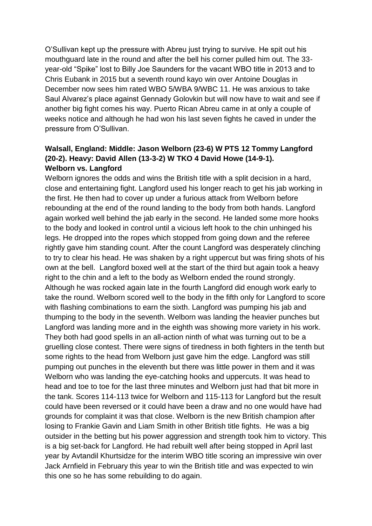O'Sullivan kept up the pressure with Abreu just trying to survive. He spit out his mouthguard late in the round and after the bell his corner pulled him out. The 33 year-old "Spike" lost to Billy Joe Saunders for the vacant WBO title in 2013 and to Chris Eubank in 2015 but a seventh round kayo win over Antoine Douglas in December now sees him rated WBO 5/WBA 9/WBC 11. He was anxious to take Saul Alvarez's place against Gennady Golovkin but will now have to wait and see if another big fight comes his way. Puerto Rican Abreu came in at only a couple of weeks notice and although he had won his last seven fights he caved in under the pressure from O'Sullivan.

## **Walsall, England: Middle: Jason Welborn (23-6) W PTS 12 Tommy Langford (20-2). Heavy: David Allen (13-3-2) W TKO 4 David Howe (14-9-1). Welborn vs. Langford**

Welborn ignores the odds and wins the British title with a split decision in a hard, close and entertaining fight. Langford used his longer reach to get his jab working in the first. He then had to cover up under a furious attack from Welborn before rebounding at the end of the round landing to the body from both hands. Langford again worked well behind the jab early in the second. He landed some more hooks to the body and looked in control until a vicious left hook to the chin unhinged his legs. He dropped into the ropes which stopped from going down and the referee rightly gave him standing count. After the count Langford was desperately clinching to try to clear his head. He was shaken by a right uppercut but was firing shots of his own at the bell. Langford boxed well at the start of the third but again took a heavy right to the chin and a left to the body as Welborn ended the round strongly. Although he was rocked again late in the fourth Langford did enough work early to take the round. Welborn scored well to the body in the fifth only for Langford to score with flashing combinations to earn the sixth. Langford was pumping his jab and thumping to the body in the seventh. Welborn was landing the heavier punches but Langford was landing more and in the eighth was showing more variety in his work. They both had good spells in an all-action ninth of what was turning out to be a gruelling close contest. There were signs of tiredness in both fighters in the tenth but some rights to the head from Welborn just gave him the edge. Langford was still pumping out punches in the eleventh but there was little power in them and it was Welborn who was landing the eye-catching hooks and uppercuts. It was head to head and toe to toe for the last three minutes and Welborn just had that bit more in the tank. Scores 114-113 twice for Welborn and 115-113 for Langford but the result could have been reversed or it could have been a draw and no one would have had grounds for complaint it was that close. Welborn is the new British champion after losing to Frankie Gavin and Liam Smith in other British title fights. He was a big outsider in the betting but his power aggression and strength took him to victory. This is a big set-back for Langford. He had rebuilt well after being stopped in April last year by Avtandil Khurtsidze for the interim WBO title scoring an impressive win over Jack Arnfield in February this year to win the British title and was expected to win this one so he has some rebuilding to do again.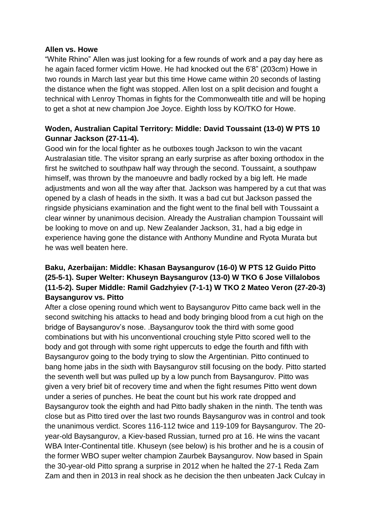#### **Allen vs. Howe**

"White Rhino" Allen was just looking for a few rounds of work and a pay day here as he again faced former victim Howe. He had knocked out the 6'8" (203cm) Howe in two rounds in March last year but this time Howe came within 20 seconds of lasting the distance when the fight was stopped. Allen lost on a split decision and fought a technical with Lenroy Thomas in fights for the Commonwealth title and will be hoping to get a shot at new champion Joe Joyce. Eighth loss by KO/TKO for Howe.

# **Woden, Australian Capital Territory: Middle: David Toussaint (13-0) W PTS 10 Gunnar Jackson (27-11-4).**

Good win for the local fighter as he outboxes tough Jackson to win the vacant Australasian title. The visitor sprang an early surprise as after boxing orthodox in the first he switched to southpaw half way through the second. Toussaint, a southpaw himself, was thrown by the manoeuvre and badly rocked by a big left. He made adjustments and won all the way after that. Jackson was hampered by a cut that was opened by a clash of heads in the sixth. It was a bad cut but Jackson passed the ringside physicians examination and the fight went to the final bell with Toussaint a clear winner by unanimous decision. Already the Australian champion Toussaint will be looking to move on and up. New Zealander Jackson, 31, had a big edge in experience having gone the distance with Anthony Mundine and Ryota Murata but he was well beaten here.

# **Baku, Azerbaijan: Middle: Khasan Baysangurov (16-0) W PTS 12 Guido Pitto (25-5-1). Super Welter: Khuseyn Baysangurov (13-0) W TKO 6 Jose Villalobos (11-5-2). Super Middle: Ramil Gadzhyiev (7-1-1) W TKO 2 Mateo Veron (27-20-3) Baysangurov vs. Pitto**

After a close opening round which went to Baysangurov Pitto came back well in the second switching his attacks to head and body bringing blood from a cut high on the bridge of Baysangurov's nose. .Baysangurov took the third with some good combinations but with his unconventional crouching style Pitto scored well to the body and got through with some right uppercuts to edge the fourth and fifth with Baysangurov going to the body trying to slow the Argentinian. Pitto continued to bang home jabs in the sixth with Baysangurov still focusing on the body. Pitto started the seventh well but was pulled up by a low punch from Baysangurov. Pitto was given a very brief bit of recovery time and when the fight resumes Pitto went down under a series of punches. He beat the count but his work rate dropped and Baysangurov took the eighth and had Pitto badly shaken in the ninth. The tenth was close but as Pitto tired over the last two rounds Baysangurov was in control and took the unanimous verdict. Scores 116-112 twice and 119-109 for Baysangurov. The 20 year-old Baysangurov, a Kiev-based Russian, turned pro at 16. He wins the vacant WBA Inter-Continental title. Khuseyn (see below) is his brother and he is a cousin of the former WBO super welter champion Zaurbek Baysangurov. Now based in Spain the 30-year-old Pitto sprang a surprise in 2012 when he halted the 27-1 Reda Zam Zam and then in 2013 in real shock as he decision the then unbeaten Jack Culcay in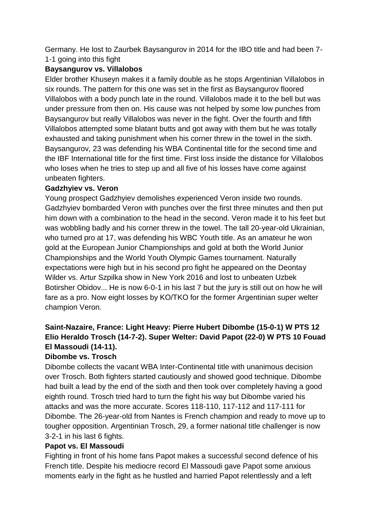Germany. He lost to Zaurbek Baysangurov in 2014 for the IBO title and had been 7- 1-1 going into this fight

# **Baysangurov vs. Villalobos**

Elder brother Khuseyn makes it a family double as he stops Argentinian Villalobos in six rounds. The pattern for this one was set in the first as Baysangurov floored Villalobos with a body punch late in the round. Villalobos made it to the bell but was under pressure from then on. His cause was not helped by some low punches from Baysangurov but really Villalobos was never in the fight. Over the fourth and fifth Villalobos attempted some blatant butts and got away with them but he was totally exhausted and taking punishment when his corner threw in the towel in the sixth. Baysangurov, 23 was defending his WBA Continental title for the second time and the IBF International title for the first time. First loss inside the distance for Villalobos who loses when he tries to step up and all five of his losses have come against unbeaten fighters.

## **Gadzhyiev vs. Veron**

Young prospect Gadzhyiev demolishes experienced Veron inside two rounds. Gadzhyiev bombarded Veron with punches over the first three minutes and then put him down with a combination to the head in the second. Veron made it to his feet but was wobbling badly and his corner threw in the towel. The tall 20-year-old Ukrainian, who turned pro at 17, was defending his WBC Youth title. As an amateur he won gold at the European Junior Championships and gold at both the World Junior Championships and the World Youth Olympic Games tournament. Naturally expectations were high but in his second pro fight he appeared on the Deontay Wilder vs. Artur Szpilka show in New York 2016 and lost to unbeaten Uzbek Botirsher Obidov... He is now 6-0-1 in his last 7 but the jury is still out on how he will fare as a pro. Now eight losses by KO/TKO for the former Argentinian super welter champion Veron.

# **Saint-Nazaire, France: Light Heavy: Pierre Hubert Dibombe (15-0-1) W PTS 12 Elio Heraldo Trosch (14-7-2). Super Welter: David Papot (22-0) W PTS 10 Fouad El Massoudi (14-11).**

#### **Dibombe vs. Trosch**

Dibombe collects the vacant WBA Inter-Continental title with unanimous decision over Trosch. Both fighters started cautiously and showed good technique. Dibombe had built a lead by the end of the sixth and then took over completely having a good eighth round. Trosch tried hard to turn the fight his way but Dibombe varied his attacks and was the more accurate. Scores 118-110, 117-112 and 117-111 for Dibombe. The 26-year-old from Nantes is French champion and ready to move up to tougher opposition. Argentinian Trosch, 29, a former national title challenger is now 3-2-1 in his last 6 fights.

#### **Papot vs. El Massoudi**

Fighting in front of his home fans Papot makes a successful second defence of his French title. Despite his mediocre record El Massoudi gave Papot some anxious moments early in the fight as he hustled and harried Papot relentlessly and a left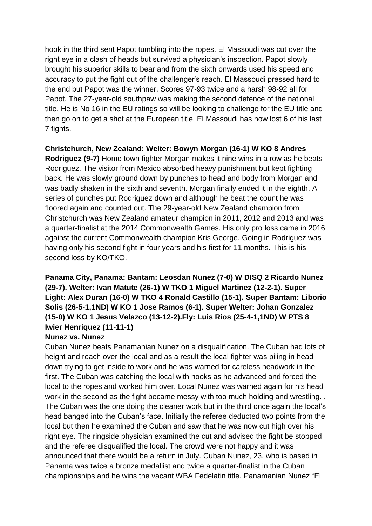hook in the third sent Papot tumbling into the ropes. El Massoudi was cut over the right eye in a clash of heads but survived a physician's inspection. Papot slowly brought his superior skills to bear and from the sixth onwards used his speed and accuracy to put the fight out of the challenger's reach. El Massoudi pressed hard to the end but Papot was the winner. Scores 97-93 twice and a harsh 98-92 all for Papot. The 27-year-old southpaw was making the second defence of the national title. He is No 16 in the EU ratings so will be looking to challenge for the EU title and then go on to get a shot at the European title. El Massoudi has now lost 6 of his last 7 fights.

### **Christchurch, New Zealand: Welter: Bowyn Morgan (16-1) W KO 8 Andres**

**Rodriguez (9-7)** Home town fighter Morgan makes it nine wins in a row as he beats Rodriguez. The visitor from Mexico absorbed heavy punishment but kept fighting back. He was slowly ground down by punches to head and body from Morgan and was badly shaken in the sixth and seventh. Morgan finally ended it in the eighth. A series of punches put Rodriguez down and although he beat the count he was floored again and counted out. The 29-year-old New Zealand champion from Christchurch was New Zealand amateur champion in 2011, 2012 and 2013 and was a quarter-finalist at the 2014 Commonwealth Games. His only pro loss came in 2016 against the current Commonwealth champion Kris George. Going in Rodriguez was having only his second fight in four years and his first for 11 months. This is his second loss by KO/TKO.

# **Panama City, Panama: Bantam: Leosdan Nunez (7-0) W DISQ 2 Ricardo Nunez (29-7). Welter: Ivan Matute (26-1) W TKO 1 Miguel Martinez (12-2-1). Super Light: Alex Duran (16-0) W TKO 4 Ronald Castillo (15-1). Super Bantam: Liborio Solis (26-5-1,1ND) W KO 1 Jose Ramos (6-1). Super Welter: Johan Gonzalez (15-0) W KO 1 Jesus Velazco (13-12-2).Fly: Luis Rios (25-4-1,1ND) W PTS 8 Iwier Henriquez (11-11-1)**

#### **Nunez vs. Nunez**

Cuban Nunez beats Panamanian Nunez on a disqualification. The Cuban had lots of height and reach over the local and as a result the local fighter was piling in head down trying to get inside to work and he was warned for careless headwork in the first. The Cuban was catching the local with hooks as he advanced and forced the local to the ropes and worked him over. Local Nunez was warned again for his head work in the second as the fight became messy with too much holding and wrestling. . The Cuban was the one doing the cleaner work but in the third once again the local's head banged into the Cuban's face. Initially the referee deducted two points from the local but then he examined the Cuban and saw that he was now cut high over his right eye. The ringside physician examined the cut and advised the fight be stopped and the referee disqualified the local. The crowd were not happy and it was announced that there would be a return in July. Cuban Nunez, 23, who is based in Panama was twice a bronze medallist and twice a quarter-finalist in the Cuban championships and he wins the vacant WBA Fedelatin title. Panamanian Nunez "El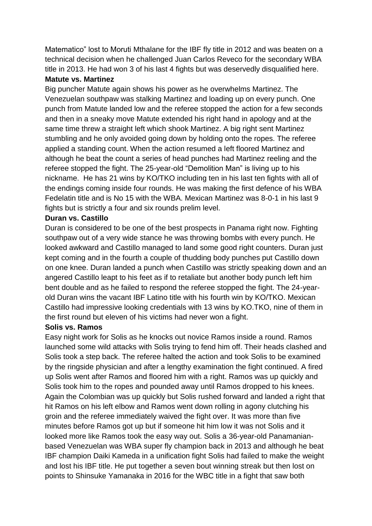Matematico" lost to Moruti Mthalane for the IBF fly title in 2012 and was beaten on a technical decision when he challenged Juan Carlos Reveco for the secondary WBA title in 2013. He had won 3 of his last 4 fights but was deservedly disqualified here.

#### **Matute vs. Martinez**

Big puncher Matute again shows his power as he overwhelms Martinez. The Venezuelan southpaw was stalking Martinez and loading up on every punch. One punch from Matute landed low and the referee stopped the action for a few seconds and then in a sneaky move Matute extended his right hand in apology and at the same time threw a straight left which shook Martinez. A big right sent Martinez stumbling and he only avoided going down by holding onto the ropes. The referee applied a standing count. When the action resumed a left floored Martinez and although he beat the count a series of head punches had Martinez reeling and the referee stopped the fight. The 25-year-old "Demolition Man" is living up to his nickname. He has 21 wins by KO/TKO including ten in his last ten fights with all of the endings coming inside four rounds. He was making the first defence of his WBA Fedelatin title and is No 15 with the WBA. Mexican Martinez was 8-0-1 in his last 9 fights but is strictly a four and six rounds prelim level.

#### **Duran vs. Castillo**

Duran is considered to be one of the best prospects in Panama right now. Fighting southpaw out of a very wide stance he was throwing bombs with every punch. He looked awkward and Castillo managed to land some good right counters. Duran just kept coming and in the fourth a couple of thudding body punches put Castillo down on one knee. Duran landed a punch when Castillo was strictly speaking down and an angered Castillo leapt to his feet as if to retaliate but another body punch left him bent double and as he failed to respond the referee stopped the fight. The 24-yearold Duran wins the vacant IBF Latino title with his fourth win by KO/TKO. Mexican Castillo had impressive looking credentials with 13 wins by KO.TKO, nine of them in the first round but eleven of his victims had never won a fight.

#### **Solis vs. Ramos**

Easy night work for Solis as he knocks out novice Ramos inside a round. Ramos launched some wild attacks with Solis trying to fend him off. Their heads clashed and Solis took a step back. The referee halted the action and took Solis to be examined by the ringside physician and after a lengthy examination the fight continued. A fired up Solis went after Ramos and floored him with a right. Ramos was up quickly and Solis took him to the ropes and pounded away until Ramos dropped to his knees. Again the Colombian was up quickly but Solis rushed forward and landed a right that hit Ramos on his left elbow and Ramos went down rolling in agony clutching his groin and the referee immediately waived the fight over. It was more than five minutes before Ramos got up but if someone hit him low it was not Solis and it looked more like Ramos took the easy way out. Solis a 36-year-old Panamanianbased Venezuelan was WBA super fly champion back in 2013 and although he beat IBF champion Daiki Kameda in a unification fight Solis had failed to make the weight and lost his IBF title. He put together a seven bout winning streak but then lost on points to Shinsuke Yamanaka in 2016 for the WBC title in a fight that saw both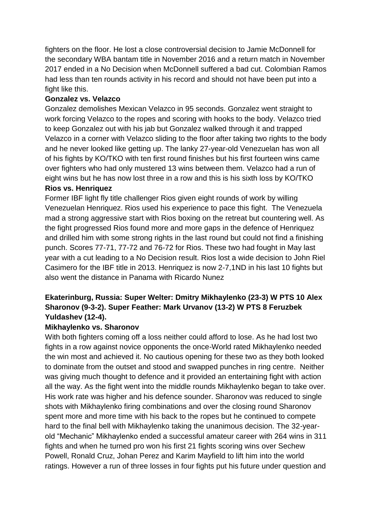fighters on the floor. He lost a close controversial decision to Jamie McDonnell for the secondary WBA bantam title in November 2016 and a return match in November 2017 ended in a No Decision when McDonnell suffered a bad cut. Colombian Ramos had less than ten rounds activity in his record and should not have been put into a fight like this.

#### **Gonzalez vs. Velazco**

Gonzalez demolishes Mexican Velazco in 95 seconds. Gonzalez went straight to work forcing Velazco to the ropes and scoring with hooks to the body. Velazco tried to keep Gonzalez out with his jab but Gonzalez walked through it and trapped Velazco in a corner with Velazco sliding to the floor after taking two rights to the body and he never looked like getting up. The lanky 27-year-old Venezuelan has won all of his fights by KO/TKO with ten first round finishes but his first fourteen wins came over fighters who had only mustered 13 wins between them. Velazco had a run of eight wins but he has now lost three in a row and this is his sixth loss by KO/TKO

# **Rios vs. Henriquez**

Former IBF light fly title challenger Rios given eight rounds of work by willing Venezuelan Henriquez. Rios used his experience to pace this fight. The Venezuela mad a strong aggressive start with Rios boxing on the retreat but countering well. As the fight progressed Rios found more and more gaps in the defence of Henriquez and drilled him with some strong rights in the last round but could not find a finishing punch. Scores 77-71, 77-72 and 76-72 for Rios. These two had fought in May last year with a cut leading to a No Decision result. Rios lost a wide decision to John Riel Casimero for the IBF title in 2013. Henriquez is now 2-7,1ND in his last 10 fights but also went the distance in Panama with Ricardo Nunez

# **Ekaterinburg, Russia: Super Welter: Dmitry Mikhaylenko (23-3) W PTS 10 Alex Sharonov (9-3-2). Super Feather: Mark Urvanov (13-2) W PTS 8 Feruzbek Yuldashev (12-4).**

# **Mikhaylenko vs. Sharonov**

With both fighters coming off a loss neither could afford to lose. As he had lost two fights in a row against novice opponents the once-World rated Mikhaylenko needed the win most and achieved it. No cautious opening for these two as they both looked to dominate from the outset and stood and swapped punches in ring centre. Neither was giving much thought to defence and it provided an entertaining fight with action all the way. As the fight went into the middle rounds Mikhaylenko began to take over. His work rate was higher and his defence sounder. Sharonov was reduced to single shots with Mikhaylenko firing combinations and over the closing round Sharonov spent more and more time with his back to the ropes but he continued to compete hard to the final bell with Mikhaylenko taking the unanimous decision. The 32-yearold "Mechanic" Mikhaylenko ended a successful amateur career with 264 wins in 311 fights and when he turned pro won his first 21 fights scoring wins over Sechew Powell, Ronald Cruz, Johan Perez and Karim Mayfield to lift him into the world ratings. However a run of three losses in four fights put his future under question and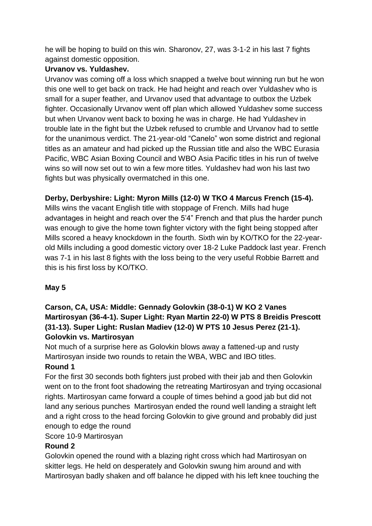he will be hoping to build on this win. Sharonov, 27, was 3-1-2 in his last 7 fights against domestic opposition.

# **Urvanov vs. Yuldashev.**

Urvanov was coming off a loss which snapped a twelve bout winning run but he won this one well to get back on track. He had height and reach over Yuldashev who is small for a super feather, and Urvanov used that advantage to outbox the Uzbek fighter. Occasionally Urvanov went off plan which allowed Yuldashev some success but when Urvanov went back to boxing he was in charge. He had Yuldashev in trouble late in the fight but the Uzbek refused to crumble and Urvanov had to settle for the unanimous verdict. The 21-year-old "Canelo" won some district and regional titles as an amateur and had picked up the Russian title and also the WBC Eurasia Pacific, WBC Asian Boxing Council and WBO Asia Pacific titles in his run of twelve wins so will now set out to win a few more titles. Yuldashev had won his last two fights but was physically overmatched in this one.

## **Derby, Derbyshire: Light: Myron Mills (12-0) W TKO 4 Marcus French (15-4).**

Mills wins the vacant English title with stoppage of French. Mills had huge advantages in height and reach over the 5'4" French and that plus the harder punch was enough to give the home town fighter victory with the fight being stopped after Mills scored a heavy knockdown in the fourth. Sixth win by KO/TKO for the 22-yearold Mills including a good domestic victory over 18-2 Luke Paddock last year. French was 7-1 in his last 8 fights with the loss being to the very useful Robbie Barrett and this is his first loss by KO/TKO.

# **May 5**

# **Carson, CA, USA: Middle: Gennady Golovkin (38-0-1) W KO 2 Vanes Martirosyan (36-4-1). Super Light: Ryan Martin 22-0) W PTS 8 Breidis Prescott (31-13). Super Light: Ruslan Madiev (12-0) W PTS 10 Jesus Perez (21-1). Golovkin vs. Martirosyan**

Not much of a surprise here as Golovkin blows away a fattened-up and rusty Martirosyan inside two rounds to retain the WBA, WBC and IBO titles.

#### **Round 1**

For the first 30 seconds both fighters just probed with their jab and then Golovkin went on to the front foot shadowing the retreating Martirosyan and trying occasional rights. Martirosyan came forward a couple of times behind a good jab but did not land any serious punches Martirosyan ended the round well landing a straight left and a right cross to the head forcing Golovkin to give ground and probably did just enough to edge the round

Score 10-9 Martirosyan

# **Round 2**

Golovkin opened the round with a blazing right cross which had Martirosyan on skitter legs. He held on desperately and Golovkin swung him around and with Martirosyan badly shaken and off balance he dipped with his left knee touching the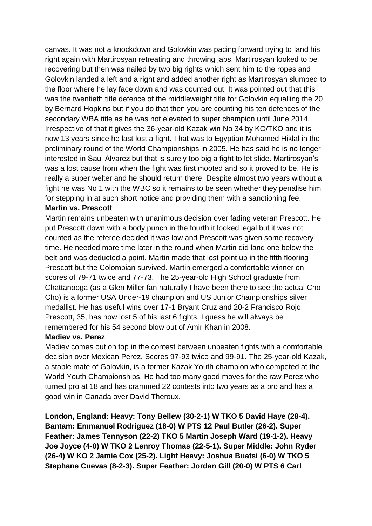canvas. It was not a knockdown and Golovkin was pacing forward trying to land his right again with Martirosyan retreating and throwing jabs. Martirosyan looked to be recovering but then was nailed by two big rights which sent him to the ropes and Golovkin landed a left and a right and added another right as Martirosyan slumped to the floor where he lay face down and was counted out. It was pointed out that this was the twentieth title defence of the middleweight title for Golovkin equalling the 20 by Bernard Hopkins but if you do that then you are counting his ten defences of the secondary WBA title as he was not elevated to super champion until June 2014. Irrespective of that it gives the 36-year-old Kazak win No 34 by KO/TKO and it is now 13 years since he last lost a fight. That was to Egyptian Mohamed Hiklal in the preliminary round of the World Championships in 2005. He has said he is no longer interested in Saul Alvarez but that is surely too big a fight to let slide. Martirosyan's was a lost cause from when the fight was first mooted and so it proved to be. He is really a super welter and he should return there. Despite almost two years without a fight he was No 1 with the WBC so it remains to be seen whether they penalise him for stepping in at such short notice and providing them with a sanctioning fee.

#### **Martin vs. Prescott**

Martin remains unbeaten with unanimous decision over fading veteran Prescott. He put Prescott down with a body punch in the fourth it looked legal but it was not counted as the referee decided it was low and Prescott was given some recovery time. He needed more time later in the round when Martin did land one below the belt and was deducted a point. Martin made that lost point up in the fifth flooring Prescott but the Colombian survived. Martin emerged a comfortable winner on scores of 79-71 twice and 77-73. The 25-year-old High School graduate from Chattanooga (as a Glen Miller fan naturally I have been there to see the actual Cho Cho) is a former USA Under-19 champion and US Junior Championships silver medallist. He has useful wins over 17-1 Bryant Cruz and 20-2 Francisco Rojo. Prescott, 35, has now lost 5 of his last 6 fights. I guess he will always be remembered for his 54 second blow out of Amir Khan in 2008.

#### **Madiev vs. Perez**

Madiev comes out on top in the contest between unbeaten fights with a comfortable decision over Mexican Perez. Scores 97-93 twice and 99-91. The 25-year-old Kazak, a stable mate of Golovkin, is a former Kazak Youth champion who competed at the World Youth Championships. He had too many good moves for the raw Perez who turned pro at 18 and has crammed 22 contests into two years as a pro and has a good win in Canada over David Theroux.

**London, England: Heavy: Tony Bellew (30-2-1) W TKO 5 David Haye (28-4). Bantam: Emmanuel Rodriguez (18-0) W PTS 12 Paul Butler (26-2). Super Feather: James Tennyson (22-2) TKO 5 Martin Joseph Ward (19-1-2). Heavy Joe Joyce (4-0) W TKO 2 Lenroy Thomas (22-5-1). Super Middle: John Ryder (26-4) W KO 2 Jamie Cox (25-2). Light Heavy: Joshua Buatsi (6-0) W TKO 5 Stephane Cuevas (8-2-3). Super Feather: Jordan Gill (20-0) W PTS 6 Carl**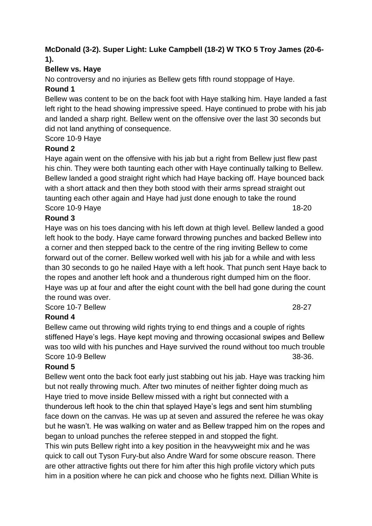## **McDonald (3-2). Super Light: Luke Campbell (18-2) W TKO 5 Troy James (20-6- 1).**

# **Bellew vs. Haye**

No controversy and no injuries as Bellew gets fifth round stoppage of Haye.

## **Round 1**

Bellew was content to be on the back foot with Haye stalking him. Haye landed a fast left right to the head showing impressive speed. Haye continued to probe with his jab and landed a sharp right. Bellew went on the offensive over the last 30 seconds but did not land anything of consequence.

## Score 10-9 Haye

## **Round 2**

Haye again went on the offensive with his jab but a right from Bellew just flew past his chin. They were both taunting each other with Haye continually talking to Bellew. Bellew landed a good straight right which had Haye backing off. Haye bounced back with a short attack and then they both stood with their arms spread straight out taunting each other again and Haye had just done enough to take the round Score 10-9 Have 18-20

#### **Round 3**

Haye was on his toes dancing with his left down at thigh level. Bellew landed a good left hook to the body. Haye came forward throwing punches and backed Bellew into a corner and then stepped back to the centre of the ring inviting Bellew to come forward out of the corner. Bellew worked well with his jab for a while and with less than 30 seconds to go he nailed Haye with a left hook. That punch sent Haye back to the ropes and another left hook and a thunderous right dumped him on the floor. Haye was up at four and after the eight count with the bell had gone during the count the round was over.

Score 10-7 Bellew 28-27

# **Round 4**

Bellew came out throwing wild rights trying to end things and a couple of rights stiffened Haye's legs. Haye kept moving and throwing occasional swipes and Bellew was too wild with his punches and Haye survived the round without too much trouble Score 10-9 Bellew 38-36.

# **Round 5**

Bellew went onto the back foot early just stabbing out his jab. Haye was tracking him but not really throwing much. After two minutes of neither fighter doing much as Haye tried to move inside Bellew missed with a right but connected with a thunderous left hook to the chin that splayed Haye's legs and sent him stumbling face down on the canvas. He was up at seven and assured the referee he was okay but he wasn't. He was walking on water and as Bellew trapped him on the ropes and began to unload punches the referee stepped in and stopped the fight. This win puts Bellew right into a key position in the heavyweight mix and he was quick to call out Tyson Fury-but also Andre Ward for some obscure reason. There are other attractive fights out there for him after this high profile victory which puts

him in a position where he can pick and choose who he fights next. Dillian White is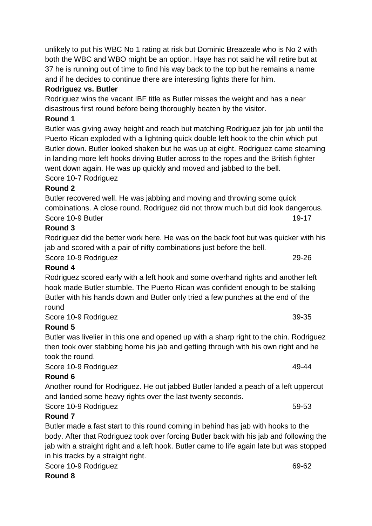unlikely to put his WBC No 1 rating at risk but Dominic Breazeale who is No 2 with both the WBC and WBO might be an option. Haye has not said he will retire but at 37 he is running out of time to find his way back to the top but he remains a name and if he decides to continue there are interesting fights there for him.

# **Rodriguez vs. Butler**

Rodriguez wins the vacant IBF title as Butler misses the weight and has a near disastrous first round before being thoroughly beaten by the visitor.

# **Round 1**

Butler was giving away height and reach but matching Rodriguez jab for jab until the Puerto Rican exploded with a lightning quick double left hook to the chin which put Butler down. Butler looked shaken but he was up at eight. Rodriguez came steaming in landing more left hooks driving Butler across to the ropes and the British fighter went down again. He was up quickly and moved and jabbed to the bell. Score 10-7 Rodriguez

## **Round 2**

Butler recovered well. He was jabbing and moving and throwing some quick combinations. A close round. Rodriguez did not throw much but did look dangerous. Score 10-9 Butler 1980 and the state of the state of the state 19-17

# **Round 3**

Rodriguez did the better work here. He was on the back foot but was quicker with his jab and scored with a pair of nifty combinations just before the bell.

Score 10-9 Rodriguez 29-26

# **Round 4**

Rodriguez scored early with a left hook and some overhand rights and another left hook made Butler stumble. The Puerto Rican was confident enough to be stalking Butler with his hands down and Butler only tried a few punches at the end of the round

Score 10-9 Rodriguez 39-35

# **Round 5**

Butler was livelier in this one and opened up with a sharp right to the chin. Rodriguez then took over stabbing home his jab and getting through with his own right and he took the round.

Score 10-9 Rodriguez 49-44

# **Round 6**

Another round for Rodriguez. He out jabbed Butler landed a peach of a left uppercut and landed some heavy rights over the last twenty seconds.

Score 10-9 Rodriguez 59-53

# **Round 7**

Butler made a fast start to this round coming in behind has jab with hooks to the body. After that Rodriguez took over forcing Butler back with his jab and following the jab with a straight right and a left hook. Butler came to life again late but was stopped in his tracks by a straight right.

Score 10-9 Rodriguez 69-62

**Round 8**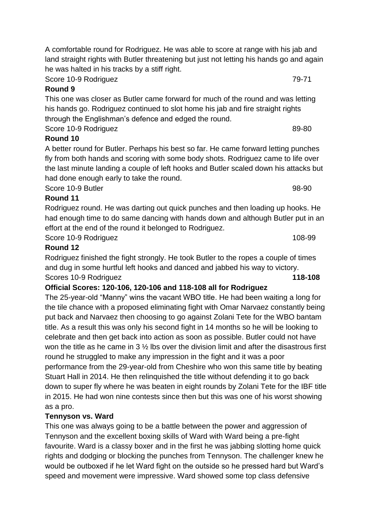Score 10-9 Rodriguez 79-71

## **Round 9**

This one was closer as Butler came forward for much of the round and was letting his hands go. Rodriguez continued to slot home his jab and fire straight rights through the Englishman's defence and edged the round. Score 10-9 Rodriguez 89-80

# **Round 10**

A better round for Butler. Perhaps his best so far. He came forward letting punches fly from both hands and scoring with some body shots. Rodriguez came to life over the last minute landing a couple of left hooks and Butler scaled down his attacks but had done enough early to take the round.

Score 10-9 Butler 98-90

# **Round 11**

Rodriguez round. He was darting out quick punches and then loading up hooks. He had enough time to do same dancing with hands down and although Butler put in an effort at the end of the round it belonged to Rodriguez.

Score 10-9 Rodriguez 108-99

# **Round 12**

Rodriguez finished the fight strongly. He took Butler to the ropes a couple of times and dug in some hurtful left hooks and danced and jabbed his way to victory. Scores 10-9 Rodriguez **118-108**

# **Official Scores: 120-106, 120-106 and 118-108 all for Rodriguez**

The 25-year-old "Manny" wins the vacant WBO title. He had been waiting a long for the tile chance with a proposed eliminating fight with Omar Narvaez constantly being put back and Narvaez then choosing to go against Zolani Tete for the WBO bantam title. As a result this was only his second fight in 14 months so he will be looking to celebrate and then get back into action as soon as possible. Butler could not have won the title as he came in 3 ½ lbs over the division limit and after the disastrous first round he struggled to make any impression in the fight and it was a poor performance from the 29-year-old from Cheshire who won this same title by beating Stuart Hall in 2014. He then relinquished the title without defending it to go back down to super fly where he was beaten in eight rounds by Zolani Tete for the IBF title in 2015. He had won nine contests since then but this was one of his worst showing as a pro.

# **Tennyson vs. Ward**

This one was always going to be a battle between the power and aggression of Tennyson and the excellent boxing skills of Ward with Ward being a pre-fight favourite. Ward is a classy boxer and in the first he was jabbing slotting home quick rights and dodging or blocking the punches from Tennyson. The challenger knew he would be outboxed if he let Ward fight on the outside so he pressed hard but Ward's speed and movement were impressive. Ward showed some top class defensive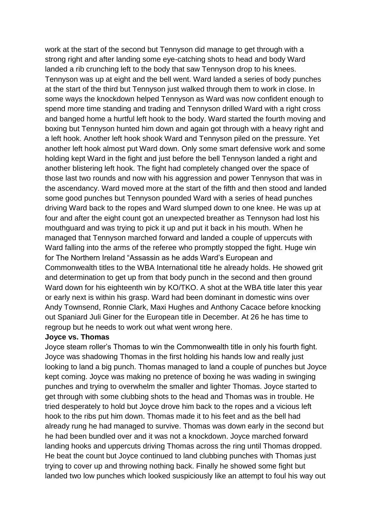work at the start of the second but Tennyson did manage to get through with a strong right and after landing some eye-catching shots to head and body Ward landed a rib crunching left to the body that saw Tennyson drop to his knees. Tennyson was up at eight and the bell went. Ward landed a series of body punches at the start of the third but Tennyson just walked through them to work in close. In some ways the knockdown helped Tennyson as Ward was now confident enough to spend more time standing and trading and Tennyson drilled Ward with a right cross and banged home a hurtful left hook to the body. Ward started the fourth moving and boxing but Tennyson hunted him down and again got through with a heavy right and a left hook. Another left hook shook Ward and Tennyson piled on the pressure. Yet another left hook almost put Ward down. Only some smart defensive work and some holding kept Ward in the fight and just before the bell Tennyson landed a right and another blistering left hook. The fight had completely changed over the space of those last two rounds and now with his aggression and power Tennyson that was in the ascendancy. Ward moved more at the start of the fifth and then stood and landed some good punches but Tennyson pounded Ward with a series of head punches driving Ward back to the ropes and Ward slumped down to one knee. He was up at four and after the eight count got an unexpected breather as Tennyson had lost his mouthguard and was trying to pick it up and put it back in his mouth. When he managed that Tennyson marched forward and landed a couple of uppercuts with Ward falling into the arms of the referee who promptly stopped the fight. Huge win for The Northern Ireland "Assassin as he adds Ward's European and Commonwealth titles to the WBA International title he already holds. He showed grit and determination to get up from that body punch in the second and then ground Ward down for his eighteenth win by KO/TKO. A shot at the WBA title later this year or early next is within his grasp. Ward had been dominant in domestic wins over Andy Townsend, Ronnie Clark, Maxi Hughes and Anthony Cacace before knocking out Spaniard Juli Giner for the European title in December. At 26 he has time to regroup but he needs to work out what went wrong here.

#### **Joyce vs. Thomas**

Joyce steam roller's Thomas to win the Commonwealth title in only his fourth fight. Joyce was shadowing Thomas in the first holding his hands low and really just looking to land a big punch. Thomas managed to land a couple of punches but Joyce kept coming. Joyce was making no pretence of boxing he was wading in swinging punches and trying to overwhelm the smaller and lighter Thomas. Joyce started to get through with some clubbing shots to the head and Thomas was in trouble. He tried desperately to hold but Joyce drove him back to the ropes and a vicious left hook to the ribs put him down. Thomas made it to his feet and as the bell had already rung he had managed to survive. Thomas was down early in the second but he had been bundled over and it was not a knockdown. Joyce marched forward landing hooks and uppercuts driving Thomas across the ring until Thomas dropped. He beat the count but Joyce continued to land clubbing punches with Thomas just trying to cover up and throwing nothing back. Finally he showed some fight but landed two low punches which looked suspiciously like an attempt to foul his way out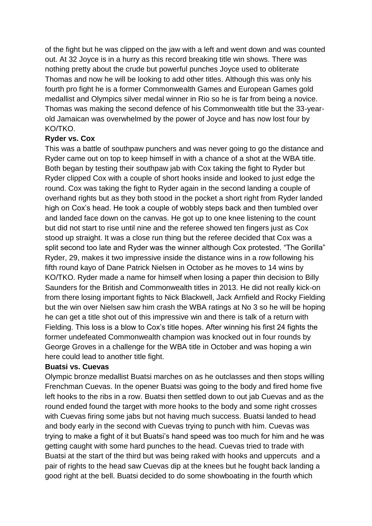of the fight but he was clipped on the jaw with a left and went down and was counted out. At 32 Joyce is in a hurry as this record breaking title win shows. There was nothing pretty about the crude but powerful punches Joyce used to obliterate Thomas and now he will be looking to add other titles. Although this was only his fourth pro fight he is a former Commonwealth Games and European Games gold medallist and Olympics silver medal winner in Rio so he is far from being a novice. Thomas was making the second defence of his Commonwealth title but the 33-yearold Jamaican was overwhelmed by the power of Joyce and has now lost four by KO/TKO.

#### **Ryder vs. Cox**

This was a battle of southpaw punchers and was never going to go the distance and Ryder came out on top to keep himself in with a chance of a shot at the WBA title. Both began by testing their southpaw jab with Cox taking the fight to Ryder but Ryder clipped Cox with a couple of short hooks inside and looked to just edge the round. Cox was taking the fight to Ryder again in the second landing a couple of overhand rights but as they both stood in the pocket a short right from Ryder landed high on Cox's head. He took a couple of wobbly steps back and then tumbled over and landed face down on the canvas. He got up to one knee listening to the count but did not start to rise until nine and the referee showed ten fingers just as Cox stood up straight. It was a close run thing but the referee decided that Cox was a split second too late and Ryder was the winner although Cox protested. "The Gorilla" Ryder, 29, makes it two impressive inside the distance wins in a row following his fifth round kayo of Dane Patrick Nielsen in October as he moves to 14 wins by KO/TKO. Ryder made a name for himself when losing a paper thin decision to Billy Saunders for the British and Commonwealth titles in 2013. He did not really kick-on from there losing important fights to Nick Blackwell, Jack Arnfield and Rocky Fielding but the win over Nielsen saw him crash the WBA ratings at No 3 so he will be hoping he can get a title shot out of this impressive win and there is talk of a return with Fielding. This loss is a blow to Cox's title hopes. After winning his first 24 fights the former undefeated Commonwealth champion was knocked out in four rounds by George Groves in a challenge for the WBA title in October and was hoping a win here could lead to another title fight.

#### **Buatsi vs. Cuevas**

Olympic bronze medallist Buatsi marches on as he outclasses and then stops willing Frenchman Cuevas. In the opener Buatsi was going to the body and fired home five left hooks to the ribs in a row. Buatsi then settled down to out jab Cuevas and as the round ended found the target with more hooks to the body and some right crosses with Cuevas firing some jabs but not having much success. Buatsi landed to head and body early in the second with Cuevas trying to punch with him. Cuevas was trying to make a fight of it but Buatsi's hand speed was too much for him and he was getting caught with some hard punches to the head. Cuevas tried to trade with Buatsi at the start of the third but was being raked with hooks and uppercuts and a pair of rights to the head saw Cuevas dip at the knees but he fought back landing a good right at the bell. Buatsi decided to do some showboating in the fourth which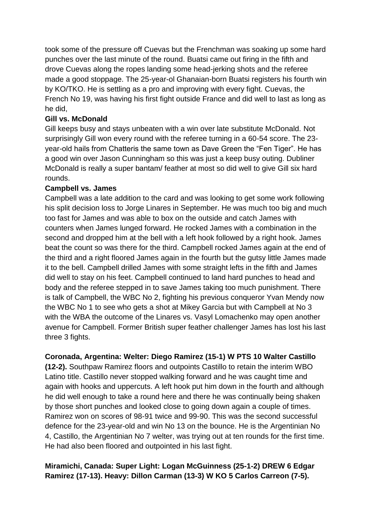took some of the pressure off Cuevas but the Frenchman was soaking up some hard punches over the last minute of the round. Buatsi came out firing in the fifth and drove Cuevas along the ropes landing some head-jerking shots and the referee made a good stoppage. The 25-year-ol Ghanaian-born Buatsi registers his fourth win by KO/TKO. He is settling as a pro and improving with every fight. Cuevas, the French No 19, was having his first fight outside France and did well to last as long as he did,

#### **Gill vs. McDonald**

Gill keeps busy and stays unbeaten with a win over late substitute McDonald. Not surprisingly Gill won every round with the referee turning in a 60-54 score. The 23 year-old hails from Chatteris the same town as Dave Green the "Fen Tiger". He has a good win over Jason Cunningham so this was just a keep busy outing. Dubliner McDonald is really a super bantam/ feather at most so did well to give Gill six hard rounds.

#### **Campbell vs. James**

Campbell was a late addition to the card and was looking to get some work following his split decision loss to Jorge Linares in September. He was much too big and much too fast for James and was able to box on the outside and catch James with counters when James lunged forward. He rocked James with a combination in the second and dropped him at the bell with a left hook followed by a right hook. James beat the count so was there for the third. Campbell rocked James again at the end of the third and a right floored James again in the fourth but the gutsy little James made it to the bell. Campbell drilled James with some straight lefts in the fifth and James did well to stay on his feet. Campbell continued to land hard punches to head and body and the referee stepped in to save James taking too much punishment. There is talk of Campbell, the WBC No 2, fighting his previous conqueror Yvan Mendy now the WBC No 1 to see who gets a shot at Mikey Garcia but with Campbell at No 3 with the WBA the outcome of the Linares vs. Vasyl Lomachenko may open another avenue for Campbell. Former British super feather challenger James has lost his last three 3 fights.

#### **Coronada, Argentina: Welter: Diego Ramirez (15-1) W PTS 10 Walter Castillo**

**(12-2).** Southpaw Ramirez floors and outpoints Castillo to retain the interim WBO Latino title. Castillo never stopped walking forward and he was caught time and again with hooks and uppercuts. A left hook put him down in the fourth and although he did well enough to take a round here and there he was continually being shaken by those short punches and looked close to going down again a couple of times. Ramirez won on scores of 98-91 twice and 99-90. This was the second successful defence for the 23-year-old and win No 13 on the bounce. He is the Argentinian No 4, Castillo, the Argentinian No 7 welter, was trying out at ten rounds for the first time. He had also been floored and outpointed in his last fight.

## **Miramichi, Canada: Super Light: Logan McGuinness (25-1-2) DREW 6 Edgar Ramirez (17-13). Heavy: Dillon Carman (13-3) W KO 5 Carlos Carreon (7-5).**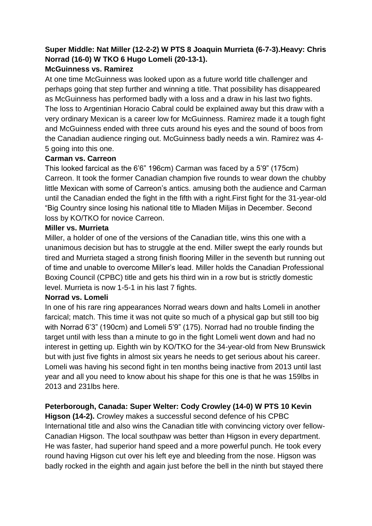# **Super Middle: Nat Miller (12-2-2) W PTS 8 Joaquin Murrieta (6-7-3).Heavy: Chris Norrad (16-0) W TKO 6 Hugo Lomeli (20-13-1).**

### **McGuinness vs. Ramirez**

At one time McGuinness was looked upon as a future world title challenger and perhaps going that step further and winning a title. That possibility has disappeared as McGuinness has performed badly with a loss and a draw in his last two fights. The loss to Argentinian Horacio Cabral could be explained away but this draw with a very ordinary Mexican is a career low for McGuinness. Ramirez made it a tough fight and McGuinness ended with three cuts around his eyes and the sound of boos from the Canadian audience ringing out. McGuinness badly needs a win. Ramirez was 4- 5 going into this one.

#### **Carman vs. Carreon**

This looked farcical as the 6'6" 196cm) Carman was faced by a 5'9" (175cm) Carreon. It took the former Canadian champion five rounds to wear down the chubby little Mexican with some of Carreon's antics. amusing both the audience and Carman until the Canadian ended the fight in the fifth with a right.First fight for the 31-year-old "Big Country since losing his national title to Mladen Miljas in December. Second loss by KO/TKO for novice Carreon.

## **Miller vs. Murrieta**

Miller, a holder of one of the versions of the Canadian title, wins this one with a unanimous decision but has to struggle at the end. Miller swept the early rounds but tired and Murrieta staged a strong finish flooring Miller in the seventh but running out of time and unable to overcome Miller's lead. Miller holds the Canadian Professional Boxing Council (CPBC) title and gets his third win in a row but is strictly domestic level. Murrieta is now 1-5-1 in his last 7 fights.

#### **Norrad vs. Lomeli**

In one of his rare ring appearances Norrad wears down and halts Lomeli in another farcical; match. This time it was not quite so much of a physical gap but still too big with Norrad 6'3" (190cm) and Lomeli 5'9" (175). Norrad had no trouble finding the target until with less than a minute to go in the fight Lomeli went down and had no interest in getting up. Eighth win by KO/TKO for the 34-year-old from New Brunswick but with just five fights in almost six years he needs to get serious about his career. Lomeli was having his second fight in ten months being inactive from 2013 until last year and all you need to know about his shape for this one is that he was 159lbs in 2013 and 231lbs here.

# **Peterborough, Canada: Super Welter: Cody Crowley (14-0) W PTS 10 Kevin**

**Higson (14-2).** Crowley makes a successful second defence of his CPBC International title and also wins the Canadian title with convincing victory over fellow-Canadian Higson. The local southpaw was better than Higson in every department. He was faster, had superior hand speed and a more powerful punch. He took every round having Higson cut over his left eye and bleeding from the nose. Higson was badly rocked in the eighth and again just before the bell in the ninth but stayed there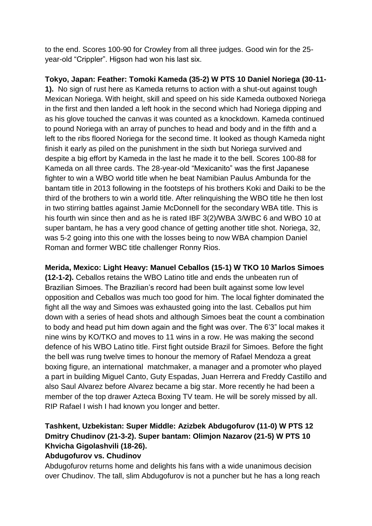to the end. Scores 100-90 for Crowley from all three judges. Good win for the 25 year-old "Crippler". Higson had won his last six.

**Tokyo, Japan: Feather: Tomoki Kameda (35-2) W PTS 10 Daniel Noriega (30-11- 1).** No sign of rust here as Kameda returns to action with a shut-out against tough Mexican Noriega. With height, skill and speed on his side Kameda outboxed Noriega in the first and then landed a left hook in the second which had Noriega dipping and as his glove touched the canvas it was counted as a knockdown. Kameda continued to pound Noriega with an array of punches to head and body and in the fifth and a left to the ribs floored Noriega for the second time. It looked as though Kameda night finish it early as piled on the punishment in the sixth but Noriega survived and despite a big effort by Kameda in the last he made it to the bell. Scores 100-88 for Kameda on all three cards. The 28-year-old "Mexicanito" was the first Japanese fighter to win a WBO world title when he beat Namibian Paulus Ambunda for the bantam title in 2013 following in the footsteps of his brothers Koki and Daiki to be the third of the brothers to win a world title. After relinquishing the WBO title he then lost in two stirring battles against Jamie McDonnell for the secondary WBA title. This is his fourth win since then and as he is rated IBF 3(2)/WBA 3/WBC 6 and WBO 10 at super bantam, he has a very good chance of getting another title shot. Noriega, 32, was 5-2 going into this one with the losses being to now WBA champion Daniel Roman and former WBC title challenger Ronny Rios.

**Merida, Mexico: Light Heavy: Manuel Ceballos (15-1) W TKO 10 Marlos Simoes (12-1-2).** Ceballos retains the WBO Latino title and ends the unbeaten run of Brazilian Simoes. The Brazilian's record had been built against some low level opposition and Ceballos was much too good for him. The local fighter dominated the fight all the way and Simoes was exhausted going into the last. Ceballos put him down with a series of head shots and although Simoes beat the count a combination to body and head put him down again and the fight was over. The 6'3" local makes it nine wins by KO/TKO and moves to 11 wins in a row. He was making the second defence of his WBO Latino title. First fight outside Brazil for Simoes. Before the fight the bell was rung twelve times to honour the memory of Rafael Mendoza a great boxing figure, an international matchmaker, a manager and a promoter who played a part in building Miguel Canto, Guty Espadas, Juan Herrera and Freddy Castillo and also Saul Alvarez before Alvarez became a big star. More recently he had been a member of the top drawer Azteca Boxing TV team. He will be sorely missed by all. RIP Rafael I wish I had known you longer and better.

# **Tashkent, Uzbekistan: Super Middle: Azizbek Abdugofurov (11-0) W PTS 12 Dmitry Chudinov (21-3-2). Super bantam: Olimjon Nazarov (21-5) W PTS 10 Khvicha Gigolashvili (18-26).**

#### **Abdugofurov vs. Chudinov**

Abdugofurov returns home and delights his fans with a wide unanimous decision over Chudinov. The tall, slim Abdugofurov is not a puncher but he has a long reach